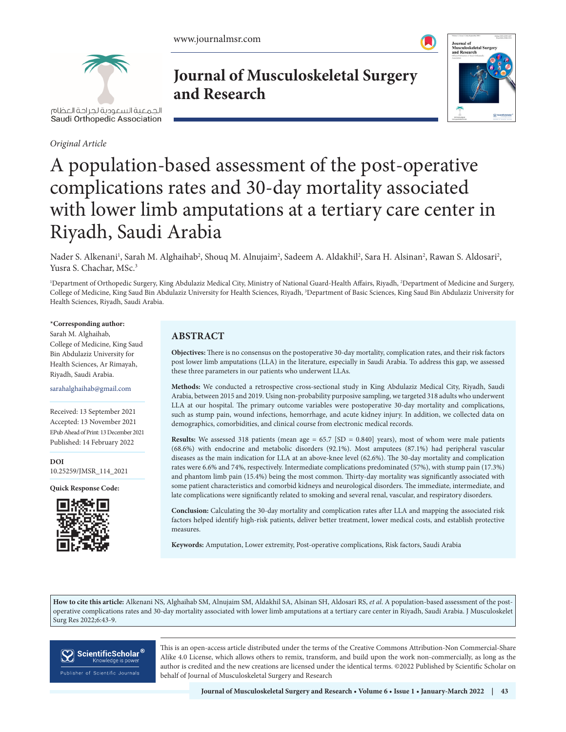

*Original Article*

**Journal of Musculoskeletal Surgery and Research**



# A population-based assessment of the post-operative complications rates and 30-day mortality associated with lower limb amputations at a tertiary care center in Riyadh, Saudi Arabia

Nader S. Alkenani<sup>1</sup>, Sarah M. Alghaihab<sup>2</sup>, Shouq M. Alnujaim<sup>2</sup>, Sadeem A. Aldakhil<sup>2</sup>, Sara H. Alsinan<sup>2</sup>, Rawan S. Aldosari<sup>2</sup>, Yusra S. Chachar, MSc.<sup>3</sup>

<sup>1</sup>Department of Orthopedic Surgery, King Abdulaziz Medical City, Ministry of National Guard-Health Affairs, Riyadh, <sup>2</sup>Department of Medicine and Surgery, College of Medicine, King Saud Bin Abdulaziz University for Health Sciences, Riyadh, <sup>3</sup>Department of Basic Sciences, King Saud Bin Abdulaziz University for Health Sciences, Riyadh, Saudi Arabia.

#### **\*Corresponding author:**

Sarah M. Alghaihab, College of Medicine, King Saud Bin Abdulaziz University for Health Sciences, Ar Rimayah, Riyadh, Saudi Arabia.

sarahalghaihab@gmail.com

Received: 13 September 2021 Accepted: 13 November 2021 EPub Ahead of Print: 13 December 2021 Published: 14 February 2022

**DOI** [10.25259/JMSR\\_114\\_2021](https://dx.doi.org/10.25259/JMSR_114_2021)

**Quick Response Code:**



## **ABSTRACT**

**Objectives:** There is no consensus on the postoperative 30-day mortality, complication rates, and their risk factors post lower limb amputations (LLA) in the literature, especially in Saudi Arabia. To address this gap, we assessed these three parameters in our patients who underwent LLAs.

**Methods:** We conducted a retrospective cross-sectional study in King Abdulaziz Medical City, Riyadh, Saudi Arabia, between 2015 and 2019. Using non-probability purposive sampling, we targeted 318 adults who underwent LLA at our hospital. The primary outcome variables were postoperative 30-day mortality and complications, such as stump pain, wound infections, hemorrhage, and acute kidney injury. In addition, we collected data on demographics, comorbidities, and clinical course from electronic medical records.

**Results:** We assessed 318 patients (mean age  $= 65.7$  [SD  $= 0.840$ ] years), most of whom were male patients (68.6%) with endocrine and metabolic disorders (92.1%). Most amputees (87.1%) had peripheral vascular diseases as the main indication for LLA at an above-knee level (62.6%). The 30-day mortality and complication rates were 6.6% and 74%, respectively. Intermediate complications predominated (57%), with stump pain (17.3%) and phantom limb pain (15.4%) being the most common. Thirty-day mortality was significantly associated with some patient characteristics and comorbid kidneys and neurological disorders. The immediate, intermediate, and late complications were significantly related to smoking and several renal, vascular, and respiratory disorders.

**Conclusion:** Calculating the 30-day mortality and complication rates after LLA and mapping the associated risk factors helped identify high-risk patients, deliver better treatment, lower medical costs, and establish protective measures.

**Keywords:** Amputation, Lower extremity, Post-operative complications, Risk factors, Saudi Arabia

**How to cite this article:** Alkenani NS, Alghaihab SM, Alnujaim SM, Aldakhil SA, Alsinan SH, Aldosari RS, *et al*. A population-based assessment of the postoperative complications rates and 30-day mortality associated with lower limb amputations at a tertiary care center in Riyadh, Saudi Arabia. J Musculoskelet Surg Res 2022;6:43-9.



This is an open-access article distributed under the terms of the Creative Commons Attribution-Non Commercial-Share Alike 4.0 License, which allows others to remix, transform, and build upon the work non-commercially, as long as the author is credited and the new creations are licensed under the identical terms. ©2022 Published by Scientific Scholar on behalf of Journal of Musculoskeletal Surgery and Research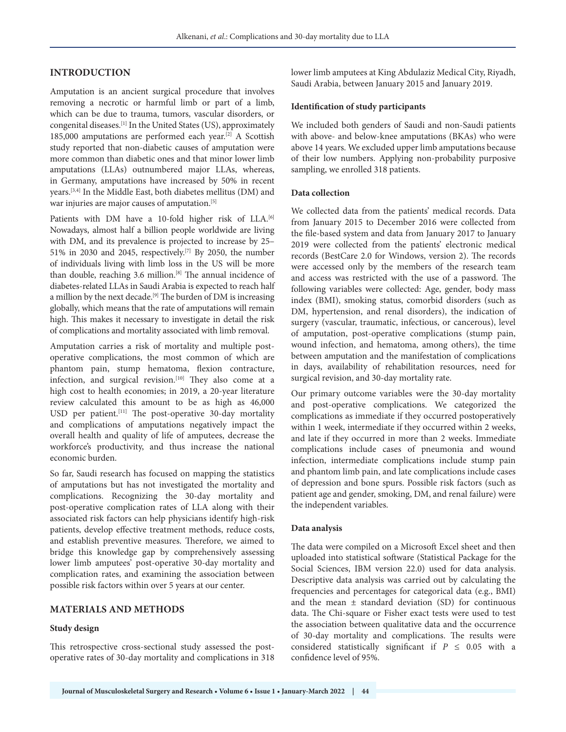## **INTRODUCTION**

Amputation is an ancient surgical procedure that involves removing a necrotic or harmful limb or part of a limb, which can be due to trauma, tumors, vascular disorders, or congenital diseases.[1] In the United States (US), approximately 185,000 amputations are performed each year.<sup>[2]</sup> A Scottish study reported that non-diabetic causes of amputation were more common than diabetic ones and that minor lower limb amputations (LLAs) outnumbered major LLAs, whereas, in Germany, amputations have increased by 50% in recent years.[3,4] In the Middle East, both diabetes mellitus (DM) and war injuries are major causes of amputation.<sup>[5]</sup>

Patients with DM have a 10-fold higher risk of LLA.<sup>[6]</sup> Nowadays, almost half a billion people worldwide are living with DM, and its prevalence is projected to increase by 25– 51% in 2030 and 2045, respectively.<sup>[7]</sup> By 2050, the number of individuals living with limb loss in the US will be more than double, reaching 3.6 million.<sup>[8]</sup> The annual incidence of diabetes-related LLAs in Saudi Arabia is expected to reach half a million by the next decade.<sup>[9]</sup> The burden of DM is increasing globally, which means that the rate of amputations will remain high. This makes it necessary to investigate in detail the risk of complications and mortality associated with limb removal.

Amputation carries a risk of mortality and multiple postoperative complications, the most common of which are phantom pain, stump hematoma, flexion contracture, infection, and surgical revision.<sup>[10]</sup> They also come at a high cost to health economies; in 2019, a 20-year literature review calculated this amount to be as high as 46,000 USD per patient.[11] The post-operative 30-day mortality and complications of amputations negatively impact the overall health and quality of life of amputees, decrease the workforce's productivity, and thus increase the national economic burden.

So far, Saudi research has focused on mapping the statistics of amputations but has not investigated the mortality and complications. Recognizing the 30-day mortality and post-operative complication rates of LLA along with their associated risk factors can help physicians identify high-risk patients, develop effective treatment methods, reduce costs, and establish preventive measures. Therefore, we aimed to bridge this knowledge gap by comprehensively assessing lower limb amputees' post-operative 30-day mortality and complication rates, and examining the association between possible risk factors within over 5 years at our center.

## **MATERIALS AND METHODS**

#### **Study design**

This retrospective cross-sectional study assessed the postoperative rates of 30-day mortality and complications in 318 lower limb amputees at King Abdulaziz Medical City, Riyadh, Saudi Arabia, between January 2015 and January 2019.

#### **Identification of study participants**

We included both genders of Saudi and non-Saudi patients with above- and below-knee amputations (BKAs) who were above 14 years. We excluded upper limb amputations because of their low numbers. Applying non-probability purposive sampling, we enrolled 318 patients.

#### **Data collection**

We collected data from the patients' medical records. Data from January 2015 to December 2016 were collected from the file-based system and data from January 2017 to January 2019 were collected from the patients' electronic medical records (BestCare 2.0 for Windows, version 2). The records were accessed only by the members of the research team and access was restricted with the use of a password. The following variables were collected: Age, gender, body mass index (BMI), smoking status, comorbid disorders (such as DM, hypertension, and renal disorders), the indication of surgery (vascular, traumatic, infectious, or cancerous), level of amputation, post-operative complications (stump pain, wound infection, and hematoma, among others), the time between amputation and the manifestation of complications in days, availability of rehabilitation resources, need for surgical revision, and 30-day mortality rate.

Our primary outcome variables were the 30-day mortality and post-operative complications. We categorized the complications as immediate if they occurred postoperatively within 1 week, intermediate if they occurred within 2 weeks, and late if they occurred in more than 2 weeks. Immediate complications include cases of pneumonia and wound infection, intermediate complications include stump pain and phantom limb pain, and late complications include cases of depression and bone spurs. Possible risk factors (such as patient age and gender, smoking, DM, and renal failure) were the independent variables.

#### **Data analysis**

The data were compiled on a Microsoft Excel sheet and then uploaded into statistical software (Statistical Package for the Social Sciences, IBM version 22.0) used for data analysis. Descriptive data analysis was carried out by calculating the frequencies and percentages for categorical data (e.g., BMI) and the mean ± standard deviation (SD) for continuous data. The Chi-square or Fisher exact tests were used to test the association between qualitative data and the occurrence of 30-day mortality and complications. The results were considered statistically significant if  $P \leq 0.05$  with a confidence level of 95%.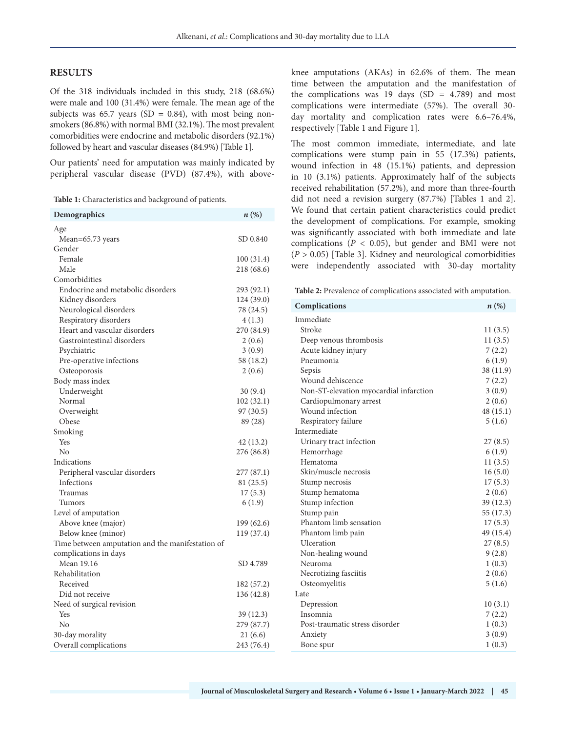#### **RESULTS**

Of the 318 individuals included in this study, 218 (68.6%) were male and 100 (31.4%) were female. The mean age of the subjects was 65.7 years (SD =  $0.84$ ), with most being nonsmokers (86.8%) with normal BMI (32.1%). The most prevalent comorbidities were endocrine and metabolic disorders (92.1%) followed by heart and vascular diseases (84.9%) [Table 1].

Our patients' need for amputation was mainly indicated by peripheral vascular disease (PVD) (87.4%), with above-

**Table 1:** Characteristics and background of patients.

| Demographics                                     | $n\left(\%\right)$ |
|--------------------------------------------------|--------------------|
| Age                                              |                    |
| Mean=65.73 years                                 | SD 0.840           |
| Gender                                           |                    |
| Female                                           | 100 (31.4)         |
| Male                                             | 218 (68.6)         |
| Comorbidities                                    |                    |
| Endocrine and metabolic disorders                | 293 (92.1)         |
| Kidney disorders                                 | 124 (39.0)         |
| Neurological disorders                           | 78 (24.5)          |
| Respiratory disorders                            | 4(1.3)             |
| Heart and vascular disorders                     | 270 (84.9)         |
| Gastrointestinal disorders                       | 2(0.6)             |
| Psychiatric                                      | 3(0.9)             |
| Pre-operative infections                         | 58 (18.2)          |
| Osteoporosis                                     | 2(0.6)             |
| Body mass index                                  |                    |
| Underweight                                      | 30(9.4)            |
| Normal                                           | 102 (32.1)         |
| Overweight                                       | 97(30.5)           |
| Obese                                            | 89 (28)            |
| Smoking                                          |                    |
| Yes                                              | 42 (13.2)          |
| No                                               | 276 (86.8)         |
| Indications                                      |                    |
| Peripheral vascular disorders                    | 277(87.1)          |
| Infections                                       | 81 (25.5)          |
| Traumas                                          | 17(5.3)            |
| Tumors                                           | 6(1.9)             |
| Level of amputation                              |                    |
| Above knee (major)                               | 199 (62.6)         |
| Below knee (minor)                               | 119 (37.4)         |
| Time between amputation and the manifestation of |                    |
| complications in days                            |                    |
| Mean 19.16                                       | SD 4.789           |
| Rehabilitation                                   |                    |
| Received                                         | 182 (57.2)         |
| Did not receive                                  | 136 (42.8)         |
| Need of surgical revision                        |                    |
| Yes                                              | 39 (12.3)          |
| No                                               | 279 (87.7)         |
| 30-day morality                                  | 21 (6.6)           |
| Overall complications                            | 243 (76.4)         |

knee amputations (AKAs) in 62.6% of them. The mean time between the amputation and the manifestation of the complications was 19 days  $(SD = 4.789)$  and most complications were intermediate (57%). The overall 30 day mortality and complication rates were 6.6–76.4%, respectively [Table 1 and Figure 1].

The most common immediate, intermediate, and late complications were stump pain in 55 (17.3%) patients, wound infection in 48 (15.1%) patients, and depression in 10 (3.1%) patients. Approximately half of the subjects received rehabilitation (57.2%), and more than three-fourth did not need a revision surgery (87.7%) [Tables 1 and 2]. We found that certain patient characteristics could predict the development of complications. For example, smoking was significantly associated with both immediate and late complications ( $P < 0.05$ ), but gender and BMI were not (*P* > 0.05) [Table 3]. Kidney and neurological comorbidities were independently associated with 30-day mortality

**Table 2:** Prevalence of complications associated with amputation.

| Complications                          | $n\left(\%\right)$ |
|----------------------------------------|--------------------|
| Immediate                              |                    |
| Stroke                                 | 11(3.5)            |
| Deep venous thrombosis                 | 11(3.5)            |
| Acute kidney injury                    | 7(2.2)             |
| Pneumonia                              | 6(1.9)             |
| Sepsis                                 | 38 (11.9)          |
| Wound dehiscence                       | 7(2.2)             |
| Non-ST-elevation myocardial infarction | 3(0.9)             |
| Cardiopulmonary arrest                 | 2(0.6)             |
| Wound infection                        | 48 (15.1)          |
| Respiratory failure                    | 5(1.6)             |
| Intermediate                           |                    |
| Urinary tract infection                | 27(8.5)            |
| Hemorrhage                             | 6(1.9)             |
| Hematoma                               | 11(3.5)            |
| Skin/muscle necrosis                   | 16(5.0)            |
| Stump necrosis                         | 17(5.3)            |
| Stump hematoma                         | 2(0.6)             |
| Stump infection                        | 39(12.3)           |
| Stump pain                             | 55 (17.3)          |
| Phantom limb sensation                 | 17(5.3)            |
| Phantom limb pain                      | 49 (15.4)          |
| Ulceration                             | 27(8.5)            |
| Non-healing wound                      | 9(2.8)             |
| Neuroma                                | 1(0.3)             |
| Necrotizing fasciitis                  | 2(0.6)             |
| Osteomyelitis                          | 5(1.6)             |
| Late                                   |                    |
| Depression                             | 10(3.1)            |
| Insomnia                               | 7(2.2)             |
| Post-traumatic stress disorder         | 1(0.3)             |
| Anxiety                                | 3(0.9)             |
| Bone spur                              | 1(0.3)             |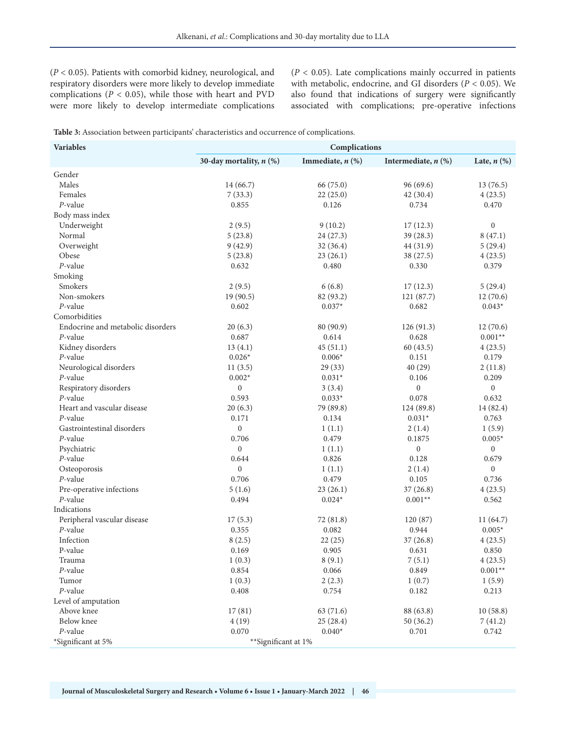(*P* < 0.05). Patients with comorbid kidney, neurological, and respiratory disorders were more likely to develop immediate complications ( $P < 0.05$ ), while those with heart and PVD were more likely to develop intermediate complications (*P* < 0.05). Late complications mainly occurred in patients with metabolic, endocrine, and GI disorders (*P* < 0.05). We also found that indications of surgery were significantly associated with complications; pre-operative infections

**Table 3:** Association between participants' characteristics and occurrence of complications.

| <b>Variables</b>                  | Complications             |                       |                       |                  |
|-----------------------------------|---------------------------|-----------------------|-----------------------|------------------|
|                                   | 30-day mortality, $n$ (%) | Immediate, $n$ $(\%)$ | Intermediate, $n$ (%) | Late, $n$ $(\%)$ |
| Gender                            |                           |                       |                       |                  |
| Males                             | 14 (66.7)                 | 66 (75.0)             | 96(69.6)              | 13(76.5)         |
| Females                           | 7(33.3)                   | 22(25.0)              | 42(30.4)              | 4(23.5)          |
| $P$ -value                        | 0.855                     | 0.126                 | 0.734                 | 0.470            |
| Body mass index                   |                           |                       |                       |                  |
| Underweight                       | 2(9.5)                    | 9(10.2)               | 17(12.3)              | $\boldsymbol{0}$ |
| Normal                            | 5(23.8)                   | 24 (27.3)             | 39 (28.3)             | 8(47.1)          |
| Overweight                        | 9(42.9)                   | 32(36.4)              | 44 (31.9)             | 5(29.4)          |
| Obese                             | 5(23.8)                   | 23(26.1)              | 38 (27.5)             | 4(23.5)          |
| $P$ -value                        | 0.632                     | 0.480                 | 0.330                 | 0.379            |
| Smoking                           |                           |                       |                       |                  |
| Smokers                           | 2(9.5)                    | 6(6.8)                | 17(12.3)              | 5(29.4)          |
| Non-smokers                       | 19(90.5)                  | 82 (93.2)             | 121 (87.7)            | 12(70.6)         |
| $P$ -value                        | 0.602                     | $0.037*$              | 0.682                 | $0.043*$         |
| Comorbidities                     |                           |                       |                       |                  |
| Endocrine and metabolic disorders | 20(6.3)                   | 80 (90.9)             | 126(91.3)             | 12(70.6)         |
| P-value                           | 0.687                     | 0.614                 | 0.628                 | $0.001**$        |
| Kidney disorders                  | 13(4.1)                   | 45(51.1)              | 60(43.5)              | 4(23.5)          |
| $P$ -value                        | $0.026*$                  | $0.006*$              | 0.151                 | 0.179            |
| Neurological disorders            | 11(3.5)                   | 29(33)                | 40(29)                | 2(11.8)          |
| P-value                           | $0.002*$                  | $0.031*$              | 0.106                 | 0.209            |
| Respiratory disorders             | $\boldsymbol{0}$          | 3(3.4)                | $\boldsymbol{0}$      | $\boldsymbol{0}$ |
| $P$ -value                        | 0.593                     | $0.033*$              | 0.078                 | 0.632            |
| Heart and vascular disease        | 20(6.3)                   | 79 (89.8)             | 124 (89.8)            | 14 (82.4)        |
| P-value                           | 0.171                     | 0.134                 | $0.031*$              | 0.763            |
| Gastrointestinal disorders        | $\boldsymbol{0}$          | 1(1.1)                | 2(1.4)                | 1(5.9)           |
| P-value                           | 0.706                     | 0.479                 | 0.1875                | $0.005*$         |
| Psychiatric                       | $\boldsymbol{0}$          | 1(1.1)                | $\boldsymbol{0}$      | $\boldsymbol{0}$ |
| P-value                           | 0.644                     | 0.826                 | 0.128                 | 0.679            |
| Osteoporosis                      | $\boldsymbol{0}$          | 1(1.1)                | 2(1.4)                | $\boldsymbol{0}$ |
| P-value                           | 0.706                     | 0.479                 | 0.105                 | 0.736            |
| Pre-operative infections          | 5(1.6)                    | 23(26.1)              | 37(26.8)              | 4(23.5)          |
| P-value                           | 0.494                     | $0.024*$              | $0.001**$             | 0.562            |
| Indications                       |                           |                       |                       |                  |
| Peripheral vascular disease       | 17(5.3)                   | 72 (81.8)             | 120(87)               | 11(64.7)         |
| $P$ -value                        | 0.355                     | 0.082                 | 0.944                 | $0.005*$         |
| Infection                         | 8(2.5)                    | 22(25)                | 37(26.8)              | 4(23.5)          |
| P-value                           | 0.169                     | 0.905                 | 0.631                 | 0.850            |
| Trauma                            | 1(0.3)                    | 8(9.1)                | 7(5.1)                | 4(23.5)          |
| P-value                           | 0.854                     | 0.066                 | 0.849                 | $0.001**$        |
| Tumor                             | 1(0.3)                    | 2(2.3)                | 1(0.7)                | 1(5.9)           |
| $P$ -value                        | 0.408                     | 0.754                 | 0.182                 | 0.213            |
| Level of amputation               |                           |                       |                       |                  |
| Above knee                        | 17(81)                    | 63 (71.6)             | 88 (63.8)             | 10(58.8)         |
| Below knee                        | 4(19)                     | 25(28.4)              | 50(36.2)              | 7(41.2)          |
| $P$ -value                        | 0.070                     | $0.040*$              | 0.701                 | 0.742            |
| *Significant at 5%                | **Significant at 1%       |                       |                       |                  |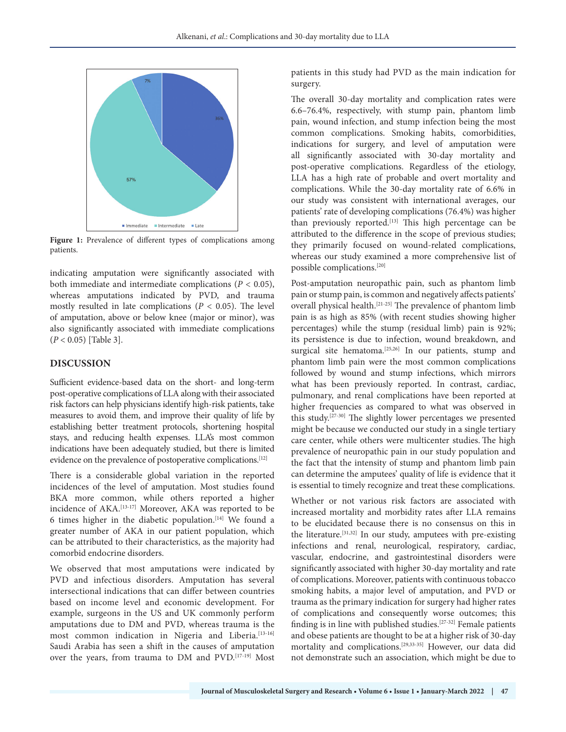

Figure 1: Prevalence of different types of complications among patients.

indicating amputation were significantly associated with both immediate and intermediate complications ( $P < 0.05$ ), whereas amputations indicated by PVD, and trauma mostly resulted in late complications (*P* < 0.05). The level of amputation, above or below knee (major or minor), was also significantly associated with immediate complications (*P* < 0.05) [Table 3].

## **DISCUSSION**

Sufficient evidence-based data on the short- and long-term post-operative complications of LLA along with their associated risk factors can help physicians identify high-risk patients, take measures to avoid them, and improve their quality of life by establishing better treatment protocols, shortening hospital stays, and reducing health expenses. LLA's most common indications have been adequately studied, but there is limited evidence on the prevalence of postoperative complications.[12]

There is a considerable global variation in the reported incidences of the level of amputation. Most studies found BKA more common, while others reported a higher incidence of AKA.[13-17] Moreover, AKA was reported to be 6 times higher in the diabetic population.<sup>[14]</sup> We found a greater number of AKA in our patient population, which can be attributed to their characteristics, as the majority had comorbid endocrine disorders.

We observed that most amputations were indicated by PVD and infectious disorders. Amputation has several intersectional indications that can differ between countries based on income level and economic development. For example, surgeons in the US and UK commonly perform amputations due to DM and PVD, whereas trauma is the most common indication in Nigeria and Liberia.<sup>[13-16]</sup> Saudi Arabia has seen a shift in the causes of amputation over the years, from trauma to DM and PVD.[17-19] Most

patients in this study had PVD as the main indication for surgery.

The overall 30-day mortality and complication rates were 6.6–76.4%, respectively, with stump pain, phantom limb pain, wound infection, and stump infection being the most common complications. Smoking habits, comorbidities, indications for surgery, and level of amputation were all significantly associated with 30-day mortality and post-operative complications. Regardless of the etiology, LLA has a high rate of probable and overt mortality and complications. While the 30-day mortality rate of 6.6% in our study was consistent with international averages, our patients' rate of developing complications (76.4%) was higher than previously reported.<sup>[13]</sup> This high percentage can be attributed to the difference in the scope of previous studies; they primarily focused on wound-related complications, whereas our study examined a more comprehensive list of possible complications.[20]

Post-amputation neuropathic pain, such as phantom limb pain or stump pain, is common and negatively affects patients' overall physical health.[21-25] The prevalence of phantom limb pain is as high as 85% (with recent studies showing higher percentages) while the stump (residual limb) pain is 92%; its persistence is due to infection, wound breakdown, and surgical site hematoma.<sup>[25,26]</sup> In our patients, stump and phantom limb pain were the most common complications followed by wound and stump infections, which mirrors what has been previously reported. In contrast, cardiac, pulmonary, and renal complications have been reported at higher frequencies as compared to what was observed in this study.[27-30] The slightly lower percentages we presented might be because we conducted our study in a single tertiary care center, while others were multicenter studies. The high prevalence of neuropathic pain in our study population and the fact that the intensity of stump and phantom limb pain can determine the amputees' quality of life is evidence that it is essential to timely recognize and treat these complications.

Whether or not various risk factors are associated with increased mortality and morbidity rates after LLA remains to be elucidated because there is no consensus on this in the literature.[31,32] In our study, amputees with pre-existing infections and renal, neurological, respiratory, cardiac, vascular, endocrine, and gastrointestinal disorders were significantly associated with higher 30-day mortality and rate of complications. Moreover, patients with continuous tobacco smoking habits, a major level of amputation, and PVD or trauma as the primary indication for surgery had higher rates of complications and consequently worse outcomes; this finding is in line with published studies.[27-32] Female patients and obese patients are thought to be at a higher risk of 30-day mortality and complications.[29,33-35] However, our data did not demonstrate such an association, which might be due to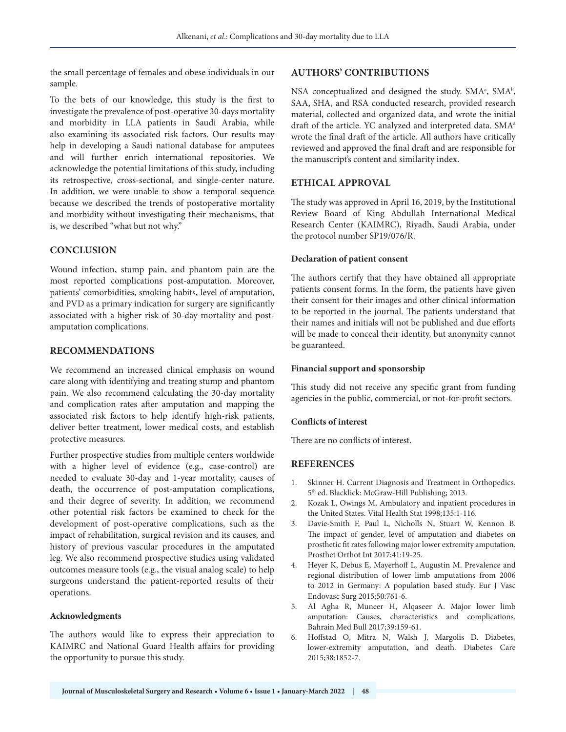the small percentage of females and obese individuals in our sample.

To the bets of our knowledge, this study is the first to investigate the prevalence of post-operative 30-days mortality and morbidity in LLA patients in Saudi Arabia, while also examining its associated risk factors. Our results may help in developing a Saudi national database for amputees and will further enrich international repositories. We acknowledge the potential limitations of this study, including its retrospective, cross-sectional, and single-center nature. In addition, we were unable to show a temporal sequence because we described the trends of postoperative mortality and morbidity without investigating their mechanisms, that is, we described "what but not why."

## **CONCLUSION**

Wound infection, stump pain, and phantom pain are the most reported complications post-amputation. Moreover, patients' comorbidities, smoking habits, level of amputation, and PVD as a primary indication for surgery are significantly associated with a higher risk of 30-day mortality and postamputation complications.

## **RECOMMENDATIONS**

We recommend an increased clinical emphasis on wound care along with identifying and treating stump and phantom pain. We also recommend calculating the 30-day mortality and complication rates after amputation and mapping the associated risk factors to help identify high-risk patients, deliver better treatment, lower medical costs, and establish protective measures.

Further prospective studies from multiple centers worldwide with a higher level of evidence (e.g., case-control) are needed to evaluate 30-day and 1-year mortality, causes of death, the occurrence of post-amputation complications, and their degree of severity. In addition, we recommend other potential risk factors be examined to check for the development of post-operative complications, such as the impact of rehabilitation, surgical revision and its causes, and history of previous vascular procedures in the amputated leg. We also recommend prospective studies using validated outcomes measure tools (e.g., the visual analog scale) to help surgeons understand the patient-reported results of their operations.

## **Acknowledgments**

The authors would like to express their appreciation to KAIMRC and National Guard Health affairs for providing the opportunity to pursue this study.

#### **AUTHORS' CONTRIBUTIONS**

NSA conceptualized and designed the study. SMA<sup>a</sup>, SMA<sup>b</sup>, SAA, SHA, and RSA conducted research, provided research material, collected and organized data, and wrote the initial draft of the article. YC analyzed and interpreted data. SMA<sup>a</sup> wrote the final draft of the article. All authors have critically reviewed and approved the final draft and are responsible for the manuscript's content and similarity index.

## **ETHICAL APPROVAL**

The study was approved in April 16, 2019, by the Institutional Review Board of King Abdullah International Medical Research Center (KAIMRC), Riyadh, Saudi Arabia, under the protocol number SP19/076/R.

#### **Declaration of patient consent**

The authors certify that they have obtained all appropriate patients consent forms. In the form, the patients have given their consent for their images and other clinical information to be reported in the journal. The patients understand that their names and initials will not be published and due efforts will be made to conceal their identity, but anonymity cannot be guaranteed.

#### **Financial support and sponsorship**

This study did not receive any specific grant from funding agencies in the public, commercial, or not-for-profit sectors.

## **Conflicts of interest**

There are no conflicts of interest.

## **REFERENCES**

- 1. Skinner H. Current Diagnosis and Treatment in Orthopedics. 5th ed. Blacklick: McGraw-Hill Publishing; 2013.
- 2. Kozak L, Owings M. Ambulatory and inpatient procedures in the United States. Vital Health Stat 1998;135:1-116.
- 3. Davie-Smith F, Paul L, Nicholls N, Stuart W, Kennon B. The impact of gender, level of amputation and diabetes on prosthetic fit rates following major lower extremity amputation. Prosthet Orthot Int 2017;41:19-25.
- 4. Heyer K, Debus E, Mayerhoff L, Augustin M. Prevalence and regional distribution of lower limb amputations from 2006 to 2012 in Germany: A population based study. Eur J Vasc Endovasc Surg 2015;50:761-6.
- 5. Al Agha R, Muneer H, Alqaseer A. Major lower limb amputation: Causes, characteristics and complications. Bahrain Med Bull 2017;39:159-61.
- 6. Hoffstad O, Mitra N, Walsh J, Margolis D. Diabetes, lower-extremity amputation, and death. Diabetes Care 2015;38:1852-7.